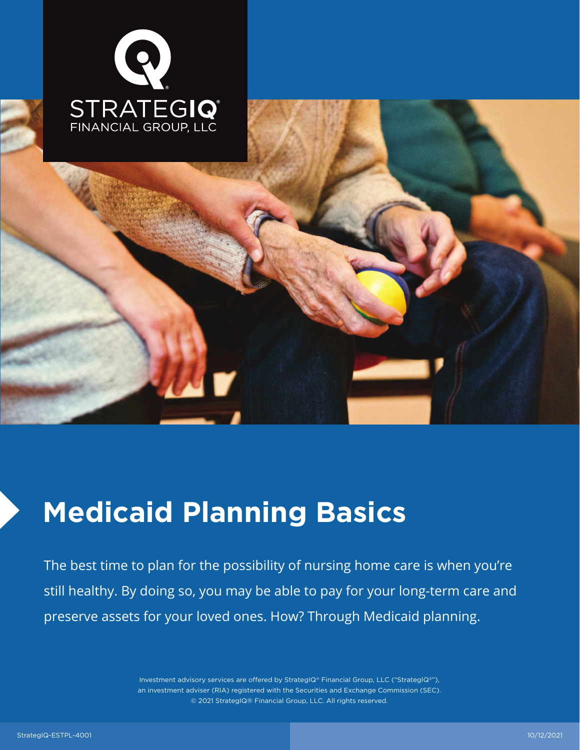

# **Medicaid Planning Basics**

The best time to plan for the possibility of nursing home care is when you're still healthy. By doing so, you may be able to pay for your long-term care and preserve assets for your loved ones. How? Through Medicaid planning.

> Investment advisory services are offered by StrategIQ® Financial Group, LLC ("StrategIQ®"), an investment adviser (RIA) registered with the Securities and Exchange Commission (SEC). © 2021 StrategIQ® Financial Group, LLC. All rights reserved.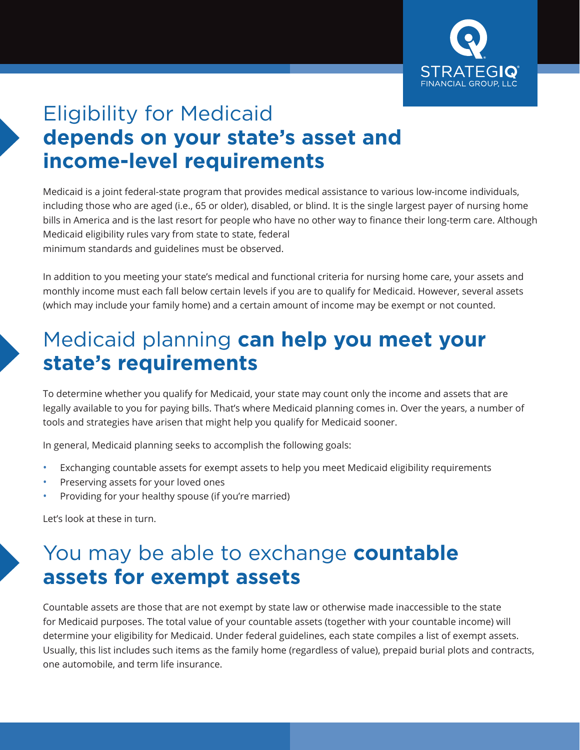

**Page 1**

# Eligibility for Medicaid **depends on your state's asset and income-level requirements**

Medicaid is a joint federal-state program that provides medical assistance to various low-income individuals, including those who are aged (i.e., 65 or older), disabled, or blind. It is the single largest payer of nursing home bills in America and is the last resort for people who have no other way to finance their long-term care. Although Medicaid eligibility rules vary from state to state, federal minimum standards and guidelines must be observed.

In addition to you meeting your state's medical and functional criteria for nursing home care, your assets and monthly income must each fall below certain levels if you are to qualify for Medicaid. However, several assets (which may include your family home) and a certain amount of income may be exempt or not counted.

#### Medicaid planning **can help you meet your state's requirements**

To determine whether you qualify for Medicaid, your state may count only the income and assets that are legally available to you for paying bills. That's where Medicaid planning comes in. Over the years, a number of tools and strategies have arisen that might help you qualify for Medicaid sooner.

In general, Medicaid planning seeks to accomplish the following goals:

- Exchanging countable assets for exempt assets to help you meet Medicaid eligibility requirements
- Preserving assets for your loved ones
- Providing for your healthy spouse (if you're married)

Let's look at these in turn.

#### You may be able to exchange **countable assets for exempt assets**

Countable assets are those that are not exempt by state law or otherwise made inaccessible to the state for Medicaid purposes. The total value of your countable assets (together with your countable income) will determine your eligibility for Medicaid. Under federal guidelines, each state compiles a list of exempt assets. Usually, this list includes such items as the family home (regardless of value), prepaid burial plots and contracts, one automobile, and term life insurance.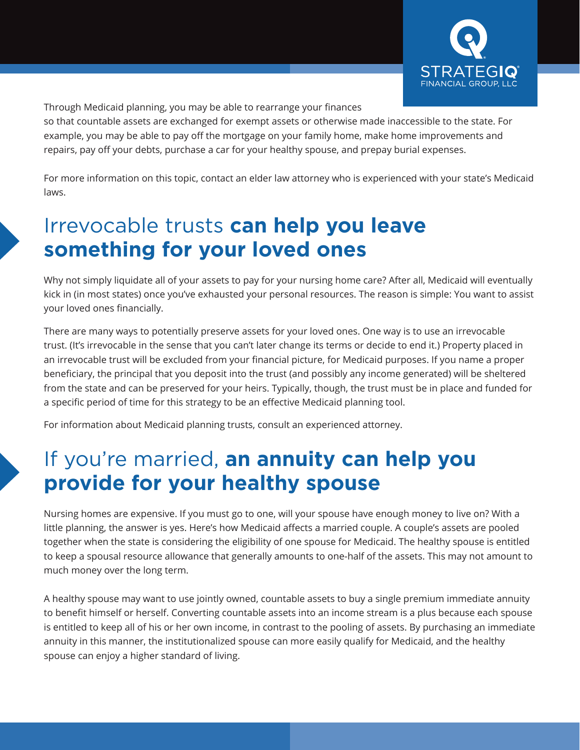

**Page 1**

Through Medicaid planning, you may be able to rearrange your finances

so that countable assets are exchanged for exempt assets or otherwise made inaccessible to the state. For example, you may be able to pay off the mortgage on your family home, make home improvements and repairs, pay off your debts, purchase a car for your healthy spouse, and prepay burial expenses.

For more information on this topic, contact an elder law attorney who is experienced with your state's Medicaid laws.

# Irrevocable trusts **can help you leave something for your loved ones**

Why not simply liquidate all of your assets to pay for your nursing home care? After all, Medicaid will eventually kick in (in most states) once you've exhausted your personal resources. The reason is simple: You want to assist your loved ones financially.

There are many ways to potentially preserve assets for your loved ones. One way is to use an irrevocable trust. (It's irrevocable in the sense that you can't later change its terms or decide to end it.) Property placed in an irrevocable trust will be excluded from your financial picture, for Medicaid purposes. If you name a proper beneficiary, the principal that you deposit into the trust (and possibly any income generated) will be sheltered from the state and can be preserved for your heirs. Typically, though, the trust must be in place and funded for a specific period of time for this strategy to be an effective Medicaid planning tool.

For information about Medicaid planning trusts, consult an experienced attorney.

# If you're married, **an annuity can help you provide for your healthy spouse**

Nursing homes are expensive. If you must go to one, will your spouse have enough money to live on? With a little planning, the answer is yes. Here's how Medicaid affects a married couple. A couple's assets are pooled together when the state is considering the eligibility of one spouse for Medicaid. The healthy spouse is entitled to keep a spousal resource allowance that generally amounts to one-half of the assets. This may not amount to much money over the long term.

A healthy spouse may want to use jointly owned, countable assets to buy a single premium immediate annuity to benefit himself or herself. Converting countable assets into an income stream is a plus because each spouse is entitled to keep all of his or her own income, in contrast to the pooling of assets. By purchasing an immediate annuity in this manner, the institutionalized spouse can more easily qualify for Medicaid, and the healthy spouse can enjoy a higher standard of living.